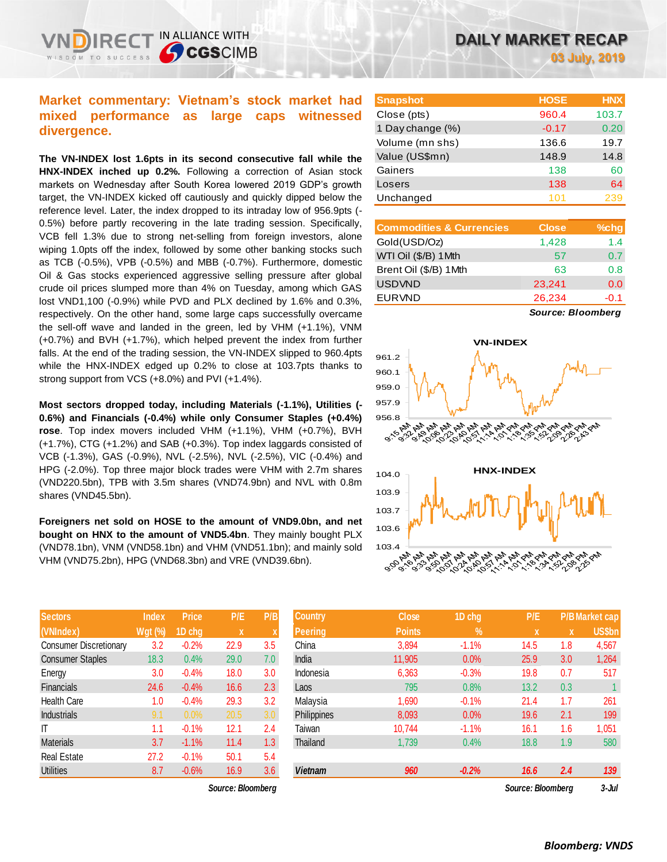# **Market commentary: Vietnam's stock market had mixed performance as large caps witnessed divergence.**

IN ALLIANCE WITH

**CGSCIMB** 

**The VN-INDEX lost 1.6pts in its second consecutive fall while the HNX-INDEX inched up 0.2%.** Following a correction of Asian stock markets on Wednesday after South Korea lowered 2019 GDP's growth target, the VN-INDEX kicked off cautiously and quickly dipped below the reference level. Later, the index dropped to its intraday low of 956.9pts (- 0.5%) before partly recovering in the late trading session. Specifically, VCB fell 1.3% due to strong net-selling from foreign investors, alone wiping 1.0pts off the index, followed by some other banking stocks such as TCB (-0.5%), VPB (-0.5%) and MBB (-0.7%). Furthermore, domestic Oil & Gas stocks experienced aggressive selling pressure after global crude oil prices slumped more than 4% on Tuesday, among which GAS lost VND1,100 (-0.9%) while PVD and PLX declined by 1.6% and 0.3%, respectively. On the other hand, some large caps successfully overcame the sell-off wave and landed in the green, led by VHM (+1.1%), VNM (+0.7%) and BVH (+1.7%), which helped prevent the index from further falls. At the end of the trading session, the VN-INDEX slipped to 960.4pts while the HNX-INDEX edged up 0.2% to close at 103.7pts thanks to strong support from VCS (+8.0%) and PVI (+1.4%).

**Most sectors dropped today, including Materials (-1.1%), Utilities (- 0.6%) and Financials (-0.4%) while only Consumer Staples (+0.4%) rose**. Top index movers included VHM (+1.1%), VHM (+0.7%), BVH (+1.7%), CTG (+1.2%) and SAB (+0.3%). Top index laggards consisted of VCB (-1.3%), GAS (-0.9%), NVL (-2.5%), NVL (-2.5%), VIC (-0.4%) and HPG (-2.0%). Top three major block trades were VHM with 2.7m shares (VND220.5bn), TPB with 3.5m shares (VND74.9bn) and NVL with 0.8m shares (VND45.5bn).

**Foreigners net sold on HOSE to the amount of VND9.0bn, and net bought on HNX to the amount of VND5.4bn**. They mainly bought PLX (VND78.1bn), VNM (VND58.1bn) and VHM (VND51.1bn); and mainly sold VHM (VND75.2bn), HPG (VND68.3bn) and VRE (VND39.6bn).

| <b>Sectors</b>                | <b>Index</b> | <b>Price</b> | P/E  | P/B |
|-------------------------------|--------------|--------------|------|-----|
| (VNIndex)                     | Wgt (%)      | 1D chg       | X    | X   |
| <b>Consumer Discretionary</b> | 3.2          | $-0.2%$      | 22.9 | 3.5 |
| <b>Consumer Staples</b>       | 18.3         | 0.4%         | 29.0 | 7.0 |
| Energy                        | 3.0          | $-0.4%$      | 18.0 | 3.0 |
| <b>Financials</b>             | 24.6         | $-0.4%$      | 16.6 | 2.3 |
| <b>Health Care</b>            | 1.0          | $-0.4%$      | 29.3 | 3.2 |
| <b>Industrials</b>            | 9.1          | 0.0%         | 20.5 | 3.0 |
| ıτ                            | 1.1          | $-0.1%$      | 12.1 | 2.4 |
| <b>Materials</b>              | 3.7          | $-1.1%$      | 11.4 | 1.3 |
| <b>Real Estate</b>            | 27.2         | $-0.1%$      | 50.1 | 5.4 |
| <b>Utilities</b>              | 8.7          | $-0.6%$      | 16.9 | 3.6 |

*Source: Bloomberg Source: Bloomberg 3-Jul*

| <b>Snapshot</b>  | <b>HOSE</b> | <b>HNX</b> |
|------------------|-------------|------------|
| Close (pts)      | 960.4       | 103.7      |
| 1 Day change (%) | $-0.17$     | 0.20       |
| Volume (mn shs)  | 136.6       | 19.7       |
| Value (US\$mn)   | 148.9       | 14.8       |
| Gainers          | 138         | 60         |
| Losers           | 138         | 64         |
| Unchanged        | 101         | 239        |

| <b>Commodities &amp; Currencies</b> | <b>Close</b> | $%$ chg |
|-------------------------------------|--------------|---------|
| Gold(USD/Oz)                        | 1,428        | 1.4     |
| WTI Oil (\$/B) 1Mth                 | 57           | 0.7     |
| Brent Oil (\$/B) 1Mth               | 63           | 0.8     |
| <b>USDVND</b>                       | 23,241       | 0.0     |
| <b>EURVND</b>                       | 26,234       | $-0.1$  |
|                                     |              |         |

*Source: Bloomberg*



| <b>Sectors</b>                | <b>Index</b>   | <b>Price</b> | P/E               | P/B | <b>Country</b> | <b>Close</b>  | 1D chg        | P/E               |             | <b>P/B Market cap</b> |
|-------------------------------|----------------|--------------|-------------------|-----|----------------|---------------|---------------|-------------------|-------------|-----------------------|
| (VNIndex)                     | <b>Wgt (%)</b> | 1D chg       | X.                |     | <b>Peering</b> | <b>Points</b> | $\frac{9}{6}$ | $\mathbf{x}$      | $\mathbf x$ | <b>US\$bn</b>         |
| <b>Consumer Discretionary</b> | 3.2            | $-0.2%$      | 22.9              | 3.5 | China          | 3,894         | $-1.1%$       | 14.5              | 1.8         | 4,567                 |
| <b>Consumer Staples</b>       | 18.3           | 0.4%         | 29.0              | 7.0 | India          | 11,905        | 0.0%          | 25.9              | 3.0         | 1,264                 |
| Energy                        | 3.0            | $-0.4%$      | 18.0              | 3.0 | Indonesia      | 6,363         | $-0.3%$       | 19.8              | 0.7         | 517                   |
| <b>Financials</b>             | 24.6           | $-0.4%$      | 16.6              | 2.3 | Laos           | 795           | 0.8%          | 13.2              | 0.3         |                       |
| Health Care                   | 1.0            | $-0.4%$      | 29.3              | 3.2 | Malaysia       | 1,690         | $-0.1%$       | 21.4              | 1.7         | 261                   |
| <b>Industrials</b>            | 9.1            | 0.0%         | 20.5              | 3.0 | Philippines    | 8,093         | 0.0%          | 19.6              | 2.1         | 199                   |
| ΙT                            | 1.1            | $-0.1%$      | 12.1              | 2.4 | Taiwan         | 10,744        | $-1.1%$       | 16.1              | 1.6         | 1,051                 |
| Materials                     | 3.7            | $-1.1%$      | 11.4              | 1.3 | Thailand       | 1,739         | 0.4%          | 18.8              | 1.9         | 580                   |
| Real Estate                   | 27.2           | $-0.1%$      | 50.1              | 5.4 |                |               |               |                   |             |                       |
| <b>Utilities</b>              | 8.7            | $-0.6%$      | 16.9              | 3.6 | <b>Vietnam</b> | 960           | $-0.2%$       | 16.6              | 2.4         | 139                   |
|                               |                |              | Source: Bloombera |     |                |               |               | Source: Bloombera |             | $3 -$ Jul             |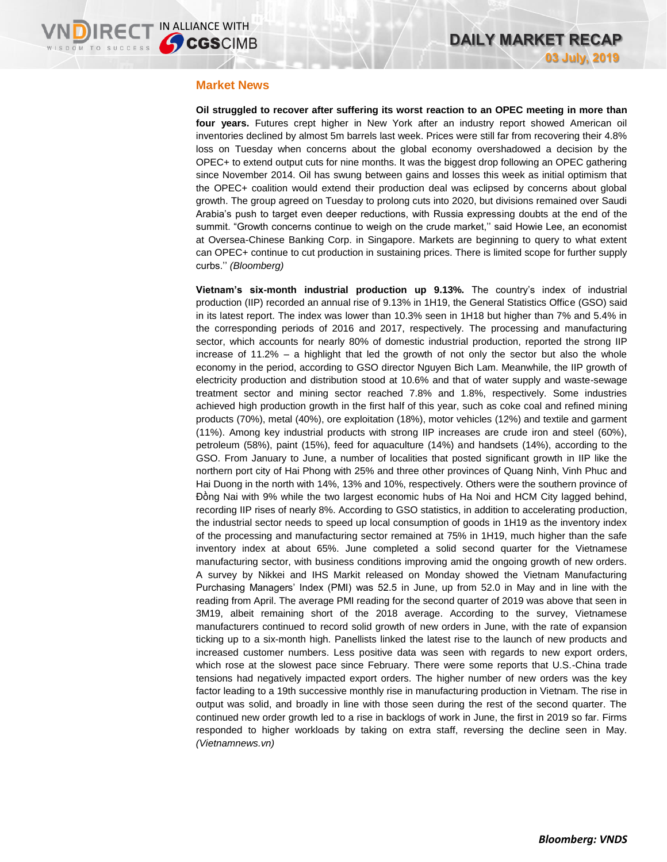### **Market News**

**Oil struggled to recover after suffering its worst reaction to an OPEC meeting in more than four years.** Futures crept higher in New York after an industry report showed American oil inventories declined by almost 5m barrels last week. Prices were still far from recovering their 4.8% loss on Tuesday when concerns about the global economy overshadowed a decision by the OPEC+ to extend output cuts for nine months. It was the biggest drop following an OPEC gathering since November 2014. Oil has swung between gains and losses this week as initial optimism that the OPEC+ coalition would extend their production deal was eclipsed by concerns about global growth. The group agreed on Tuesday to prolong cuts into 2020, but divisions remained over Saudi Arabia's push to target even deeper reductions, with Russia expressing doubts at the end of the summit. "Growth concerns continue to weigh on the crude market,'' said Howie Lee, an economist at Oversea-Chinese Banking Corp. in Singapore. Markets are beginning to query to what extent can OPEC+ continue to cut production in sustaining prices. There is limited scope for further supply curbs.'' *(Bloomberg)*

**Vietnam's six-month industrial production up 9.13%.** The country's index of industrial production (IIP) recorded an annual rise of 9.13% in 1H19, the General Statistics Office (GSO) said in its latest report. The index was lower than 10.3% seen in 1H18 but higher than 7% and 5.4% in the corresponding periods of 2016 and 2017, respectively. The processing and manufacturing sector, which accounts for nearly 80% of domestic industrial production, reported the strong IIP increase of 11.2% – a highlight that led the growth of not only the sector but also the whole economy in the period, according to GSO director Nguyen Bich Lam. Meanwhile, the IIP growth of electricity production and distribution stood at 10.6% and that of water supply and waste-sewage treatment sector and mining sector reached 7.8% and 1.8%, respectively. Some industries achieved high production growth in the first half of this year, such as coke coal and refined mining products (70%), metal (40%), ore exploitation (18%), motor vehicles (12%) and textile and garment (11%). Among key industrial products with strong IIP increases are crude iron and steel (60%), petroleum (58%), paint (15%), feed for aquaculture (14%) and handsets (14%), according to the GSO. From January to June, a number of localities that posted significant growth in IIP like the northern port city of Hai Phong with 25% and three other provinces of Quang Ninh, Vinh Phuc and Hai Duong in the north with 14%, 13% and 10%, respectively. Others were the southern province of Đồng Nai with 9% while the two largest economic hubs of Ha Noi and HCM City lagged behind, recording IIP rises of nearly 8%. According to GSO statistics, in addition to accelerating production, the industrial sector needs to speed up local consumption of goods in 1H19 as the inventory index of the processing and manufacturing sector remained at 75% in 1H19, much higher than the safe inventory index at about 65%. June completed a solid second quarter for the Vietnamese manufacturing sector, with business conditions improving amid the ongoing growth of new orders. A survey by Nikkei and IHS Markit released on Monday showed the Vietnam Manufacturing Purchasing Managers' Index (PMI) was 52.5 in June, up from 52.0 in May and in line with the reading from April. The average PMI reading for the second quarter of 2019 was above that seen in 3M19, albeit remaining short of the 2018 average. According to the survey, Vietnamese manufacturers continued to record solid growth of new orders in June, with the rate of expansion ticking up to a six-month high. Panellists linked the latest rise to the launch of new products and increased customer numbers. Less positive data was seen with regards to new export orders, which rose at the slowest pace since February. There were some reports that U.S.-China trade tensions had negatively impacted export orders. The higher number of new orders was the key factor leading to a 19th successive monthly rise in manufacturing production in Vietnam. The rise in output was solid, and broadly in line with those seen during the rest of the second quarter. The continued new order growth led to a rise in backlogs of work in June, the first in 2019 so far. Firms responded to higher workloads by taking on extra staff, reversing the decline seen in May. *(Vietnamnews.vn)*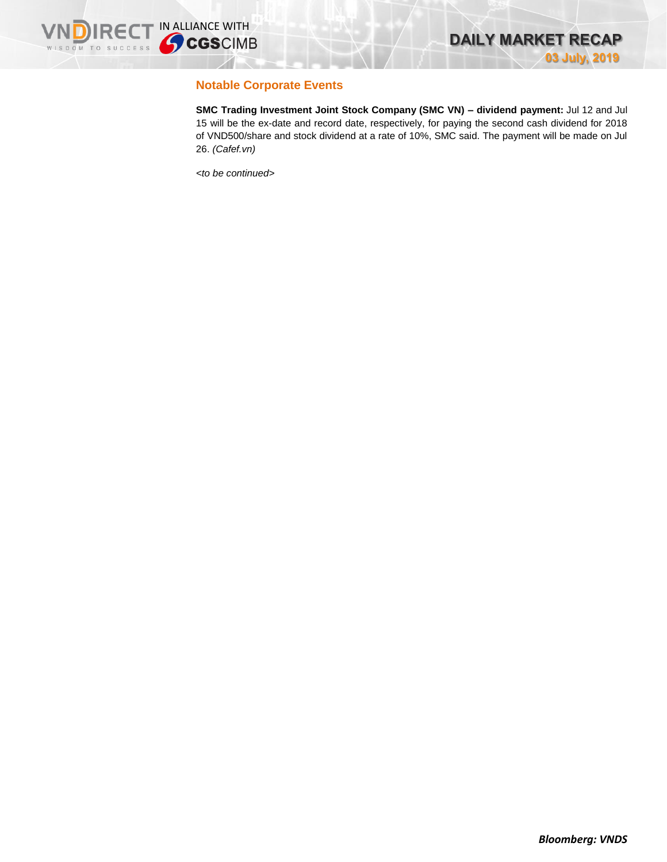

# **Notable Corporate Events**

**SMC Trading Investment Joint Stock Company (SMC VN) – dividend payment:** Jul 12 and Jul 15 will be the ex-date and record date, respectively, for paying the second cash dividend for 2018 of VND500/share and stock dividend at a rate of 10%, SMC said. The payment will be made on Jul 26. *(Cafef.vn)*

*<to be continued>*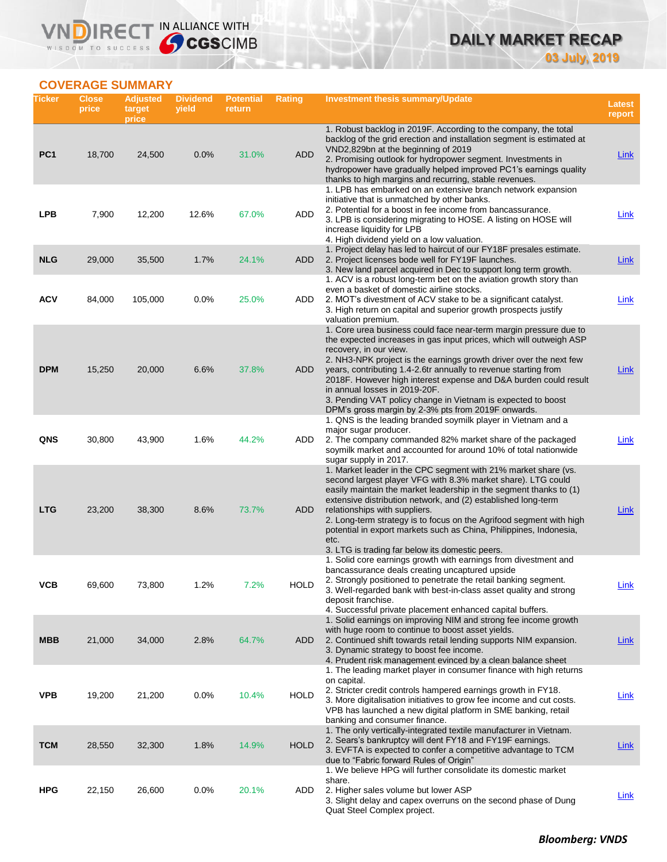# **DAILY MARKET RECAP 03 July, 2019**

# **COVERAGE SUMMARY**

WISDOM TO SUCCESS

VND

IRECT IN ALLIANCE WITH

| Ticker          | <b>Close</b><br>price | <b>Adjusted</b><br>target<br>price | <b>Dividend</b><br>yield | <b>Potential</b><br>return | <b>Rating</b> | Investment thesis summary/Update                                                                                                                                                                                                                                                                                                                                                                                                                                                                                                                             | Latest<br>report |
|-----------------|-----------------------|------------------------------------|--------------------------|----------------------------|---------------|--------------------------------------------------------------------------------------------------------------------------------------------------------------------------------------------------------------------------------------------------------------------------------------------------------------------------------------------------------------------------------------------------------------------------------------------------------------------------------------------------------------------------------------------------------------|------------------|
| PC <sub>1</sub> | 18,700                | 24,500                             | 0.0%                     | 31.0%                      | <b>ADD</b>    | 1. Robust backlog in 2019F. According to the company, the total<br>backlog of the grid erection and installation segment is estimated at<br>VND2,829bn at the beginning of 2019<br>2. Promising outlook for hydropower segment. Investments in<br>hydropower have gradually helped improved PC1's earnings quality                                                                                                                                                                                                                                           | <b>Link</b>      |
| <b>LPB</b>      | 7,900                 | 12,200                             | 12.6%                    | 67.0%                      | ADD           | thanks to high margins and recurring, stable revenues.<br>1. LPB has embarked on an extensive branch network expansion<br>initiative that is unmatched by other banks.<br>2. Potential for a boost in fee income from bancassurance.<br>3. LPB is considering migrating to HOSE. A listing on HOSE will<br>increase liquidity for LPB                                                                                                                                                                                                                        | Link             |
| <b>NLG</b>      | 29,000                | 35,500                             | 1.7%                     | 24.1%                      | ADD           | 4. High dividend yield on a low valuation.<br>1. Project delay has led to haircut of our FY18F presales estimate.<br>2. Project licenses bode well for FY19F launches.<br>3. New land parcel acquired in Dec to support long term growth.                                                                                                                                                                                                                                                                                                                    | <u>Link</u>      |
| <b>ACV</b>      | 84,000                | 105,000                            | 0.0%                     | 25.0%                      | ADD           | 1. ACV is a robust long-term bet on the aviation growth story than<br>even a basket of domestic airline stocks.<br>2. MOT's divestment of ACV stake to be a significant catalyst.<br>3. High return on capital and superior growth prospects justify                                                                                                                                                                                                                                                                                                         | <b>Link</b>      |
| <b>DPM</b>      | 15,250                | 20,000                             | 6.6%                     | 37.8%                      | ADD           | valuation premium.<br>1. Core urea business could face near-term margin pressure due to<br>the expected increases in gas input prices, which will outweigh ASP<br>recovery, in our view.<br>2. NH3-NPK project is the earnings growth driver over the next few<br>years, contributing 1.4-2.6tr annually to revenue starting from<br>2018F. However high interest expense and D&A burden could result<br>in annual losses in 2019-20F.<br>3. Pending VAT policy change in Vietnam is expected to boost<br>DPM's gross margin by 2-3% pts from 2019F onwards. | Link             |
| QNS             | 30,800                | 43,900                             | 1.6%                     | 44.2%                      | ADD           | 1. QNS is the leading branded soymilk player in Vietnam and a<br>major sugar producer.<br>2. The company commanded 82% market share of the packaged<br>soymilk market and accounted for around 10% of total nationwide<br>sugar supply in 2017.                                                                                                                                                                                                                                                                                                              | Link             |
| <b>LTG</b>      | 23,200                | 38,300                             | 8.6%                     | 73.7%                      | ADD           | 1. Market leader in the CPC segment with 21% market share (vs.<br>second largest player VFG with 8.3% market share). LTG could<br>easily maintain the market leadership in the segment thanks to (1)<br>extensive distribution network, and (2) established long-term<br>relationships with suppliers.<br>2. Long-term strategy is to focus on the Agrifood segment with high<br>potential in export markets such as China, Philippines, Indonesia,<br>etc.<br>3. LTG is trading far below its domestic peers.                                               | Link             |
| ۷СВ             | 69,600                | 73,800                             | 1.2%                     | $1.2\%$                    | <b>HOLD</b>   | 1. Solid core earnings growth with earnings from divestment and<br>bancassurance deals creating uncaptured upside<br>2. Strongly positioned to penetrate the retail banking segment.<br>3. Well-regarded bank with best-in-class asset quality and strong<br>deposit franchise.<br>4. Successful private placement enhanced capital buffers.                                                                                                                                                                                                                 | <b>Link</b>      |
| <b>MBB</b>      | 21,000                | 34,000                             | 2.8%                     | 64.7%                      | ADD           | 1. Solid earnings on improving NIM and strong fee income growth<br>with huge room to continue to boost asset yields.<br>2. Continued shift towards retail lending supports NIM expansion.<br>3. Dynamic strategy to boost fee income.<br>4. Prudent risk management evinced by a clean balance sheet                                                                                                                                                                                                                                                         | Link             |
| <b>VPB</b>      | 19,200                | 21,200                             | 0.0%                     | 10.4%                      | <b>HOLD</b>   | 1. The leading market player in consumer finance with high returns<br>on capital.<br>2. Stricter credit controls hampered earnings growth in FY18.<br>3. More digitalisation initiatives to grow fee income and cut costs.<br>VPB has launched a new digital platform in SME banking, retail<br>banking and consumer finance.                                                                                                                                                                                                                                | <u>Link</u>      |
| <b>TCM</b>      | 28,550                | 32,300                             | 1.8%                     | 14.9%                      | <b>HOLD</b>   | 1. The only vertically-integrated textile manufacturer in Vietnam.<br>2. Sears's bankruptcy will dent FY18 and FY19F earnings.<br>3. EVFTA is expected to confer a competitive advantage to TCM<br>due to "Fabric forward Rules of Origin"                                                                                                                                                                                                                                                                                                                   | <b>Link</b>      |
| <b>HPG</b>      | 22,150                | 26,600                             | 0.0%                     | 20.1%                      | ADD           | 1. We believe HPG will further consolidate its domestic market<br>share.<br>2. Higher sales volume but lower ASP<br>3. Slight delay and capex overruns on the second phase of Dung<br>Quat Steel Complex project.                                                                                                                                                                                                                                                                                                                                            | <b>Link</b>      |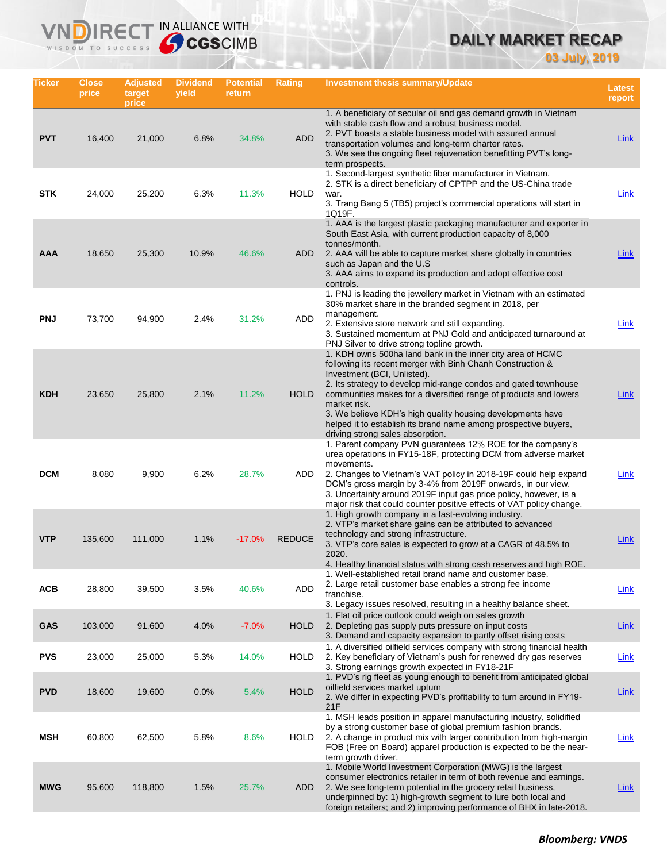# **DAILY MARKET RECAP**

**03 July, 2019**

| Ticker     | Close<br>price | <b>Adjusted</b><br>target<br>price | <b>Dividend</b><br>yield | <b>Potential</b><br>return | <b>Rating</b> | Investment thesis summary/Update                                                                                                                                                                                                                                                                                                                                                                                                                                                    | <b>Latest</b><br>report |
|------------|----------------|------------------------------------|--------------------------|----------------------------|---------------|-------------------------------------------------------------------------------------------------------------------------------------------------------------------------------------------------------------------------------------------------------------------------------------------------------------------------------------------------------------------------------------------------------------------------------------------------------------------------------------|-------------------------|
| <b>PVT</b> | 16,400         | 21,000                             | 6.8%                     | 34.8%                      | <b>ADD</b>    | 1. A beneficiary of secular oil and gas demand growth in Vietnam<br>with stable cash flow and a robust business model.<br>2. PVT boasts a stable business model with assured annual<br>transportation volumes and long-term charter rates.<br>3. We see the ongoing fleet rejuvenation benefitting PVT's long-<br>term prospects.                                                                                                                                                   | <b>Link</b>             |
| <b>STK</b> | 24,000         | 25,200                             | 6.3%                     | 11.3%                      | <b>HOLD</b>   | 1. Second-largest synthetic fiber manufacturer in Vietnam.<br>2. STK is a direct beneficiary of CPTPP and the US-China trade<br>war.<br>3. Trang Bang 5 (TB5) project's commercial operations will start in<br>1Q19F.                                                                                                                                                                                                                                                               | Link                    |
| AAA        | 18,650         | 25,300                             | 10.9%                    | 46.6%                      | <b>ADD</b>    | 1. AAA is the largest plastic packaging manufacturer and exporter in<br>South East Asia, with current production capacity of 8,000<br>tonnes/month.<br>2. AAA will be able to capture market share globally in countries<br>such as Japan and the U.S.<br>3. AAA aims to expand its production and adopt effective cost<br>controls.                                                                                                                                                | Link                    |
| <b>PNJ</b> | 73,700         | 94,900                             | 2.4%                     | 31.2%                      | ADD           | 1. PNJ is leading the jewellery market in Vietnam with an estimated<br>30% market share in the branded segment in 2018, per<br>management.<br>2. Extensive store network and still expanding.<br>3. Sustained momentum at PNJ Gold and anticipated turnaround at<br>PNJ Silver to drive strong topline growth.                                                                                                                                                                      | <b>Link</b>             |
| <b>KDH</b> | 23,650         | 25,800                             | 2.1%                     | 11.2%                      | <b>HOLD</b>   | 1. KDH owns 500ha land bank in the inner city area of HCMC<br>following its recent merger with Binh Chanh Construction &<br>Investment (BCI, Unlisted).<br>2. Its strategy to develop mid-range condos and gated townhouse<br>communities makes for a diversified range of products and lowers<br>market risk.<br>3. We believe KDH's high quality housing developments have<br>helped it to establish its brand name among prospective buyers,<br>driving strong sales absorption. | Link                    |
| <b>DCM</b> | 8,080          | 9,900                              | 6.2%                     | 28.7%                      | ADD           | 1. Parent company PVN guarantees 12% ROE for the company's<br>urea operations in FY15-18F, protecting DCM from adverse market<br>movements.<br>2. Changes to Vietnam's VAT policy in 2018-19F could help expand<br>DCM's gross margin by 3-4% from 2019F onwards, in our view.<br>3. Uncertainty around 2019F input gas price policy, however, is a<br>major risk that could counter positive effects of VAT policy change.                                                         | Link                    |
| <b>VTP</b> | 135,600        | 111,000                            | 1.1%                     | $-17.0%$                   | <b>REDUCE</b> | 1. High growth company in a fast-evolving industry.<br>2. VTP's market share gains can be attributed to advanced<br>technology and strong infrastructure.<br>3. VTP's core sales is expected to grow at a CAGR of 48.5% to<br>2020.<br>4. Healthy financial status with strong cash reserves and high ROE.                                                                                                                                                                          | Link                    |
| <b>ACB</b> | 28,800         | 39,500                             | 3.5%                     | 40.6%                      | ADD           | 1. Well-established retail brand name and customer base.<br>2. Large retail customer base enables a strong fee income<br>franchise.<br>3. Legacy issues resolved, resulting in a healthy balance sheet.                                                                                                                                                                                                                                                                             | <b>Link</b>             |
| <b>GAS</b> | 103,000        | 91,600                             | 4.0%                     | $-7.0%$                    | <b>HOLD</b>   | 1. Flat oil price outlook could weigh on sales growth<br>2. Depleting gas supply puts pressure on input costs<br>3. Demand and capacity expansion to partly offset rising costs                                                                                                                                                                                                                                                                                                     | Link                    |
| <b>PVS</b> | 23,000         | 25,000                             | 5.3%                     | 14.0%                      | <b>HOLD</b>   | 1. A diversified oilfield services company with strong financial health<br>2. Key beneficiary of Vietnam's push for renewed dry gas reserves<br>3. Strong earnings growth expected in FY18-21F                                                                                                                                                                                                                                                                                      | Link                    |
| <b>PVD</b> | 18,600         | 19,600                             | 0.0%                     | 5.4%                       | <b>HOLD</b>   | 1. PVD's rig fleet as young enough to benefit from anticipated global<br>oilfield services market upturn<br>2. We differ in expecting PVD's profitability to turn around in FY19-<br>21F                                                                                                                                                                                                                                                                                            | <b>Link</b>             |
| MSH        | 60,800         | 62,500                             | 5.8%                     | 8.6%                       | <b>HOLD</b>   | 1. MSH leads position in apparel manufacturing industry, solidified<br>by a strong customer base of global premium fashion brands.<br>2. A change in product mix with larger contribution from high-margin<br>FOB (Free on Board) apparel production is expected to be the near-<br>term growth driver.                                                                                                                                                                             | <b>Link</b>             |
| <b>MWG</b> | 95,600         | 118,800                            | 1.5%                     | 25.7%                      | ADD           | 1. Mobile World Investment Corporation (MWG) is the largest<br>consumer electronics retailer in term of both revenue and earnings.<br>2. We see long-term potential in the grocery retail business,<br>underpinned by: 1) high-growth segment to lure both local and<br>foreign retailers; and 2) improving performance of BHX in late-2018.                                                                                                                                        | <u>Link</u>             |

IN ALLIANCE WITH

VND

**IRE** WISDOM TO SUCCESS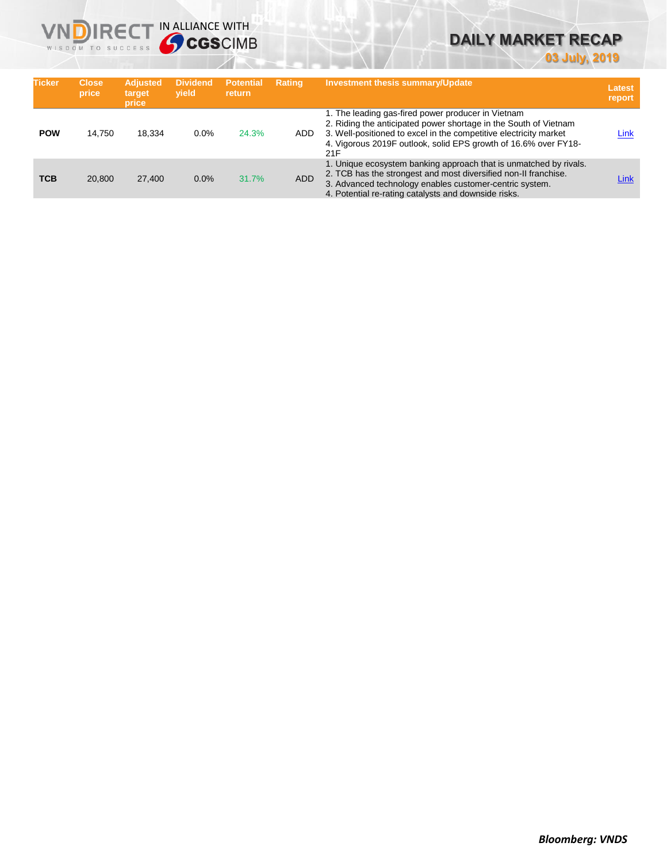

# **DAILY MARKET RECAP**

**03 July, 2019**

| <b>Ticker</b> | <b>Close</b><br>price | <b>Adjusted</b><br>target<br>price | <b>Dividend</b><br>vield | <b>Potential</b><br><b>return</b> | <b>Rating</b> | <b>Investment thesis summary/Update</b>                                                                                                                                                                                                                               | <b>Latest</b><br>report |
|---------------|-----------------------|------------------------------------|--------------------------|-----------------------------------|---------------|-----------------------------------------------------------------------------------------------------------------------------------------------------------------------------------------------------------------------------------------------------------------------|-------------------------|
| <b>POW</b>    | 14.750                | 18.334                             | $0.0\%$                  | 24.3%                             | ADD.          | 1. The leading gas-fired power producer in Vietnam<br>2. Riding the anticipated power shortage in the South of Vietnam<br>3. Well-positioned to excel in the competitive electricity market<br>4. Vigorous 2019F outlook, solid EPS growth of 16.6% over FY18-<br>21F | Link                    |
| <b>TCB</b>    | 20.800                | 27,400                             | 0.0%                     | 31.7%                             | <b>ADD</b>    | 1. Unique ecosystem banking approach that is unmatched by rivals.<br>2. TCB has the strongest and most diversified non-II franchise.<br>3. Advanced technology enables customer-centric system.<br>4. Potential re-rating catalysts and downside risks.               | Link                    |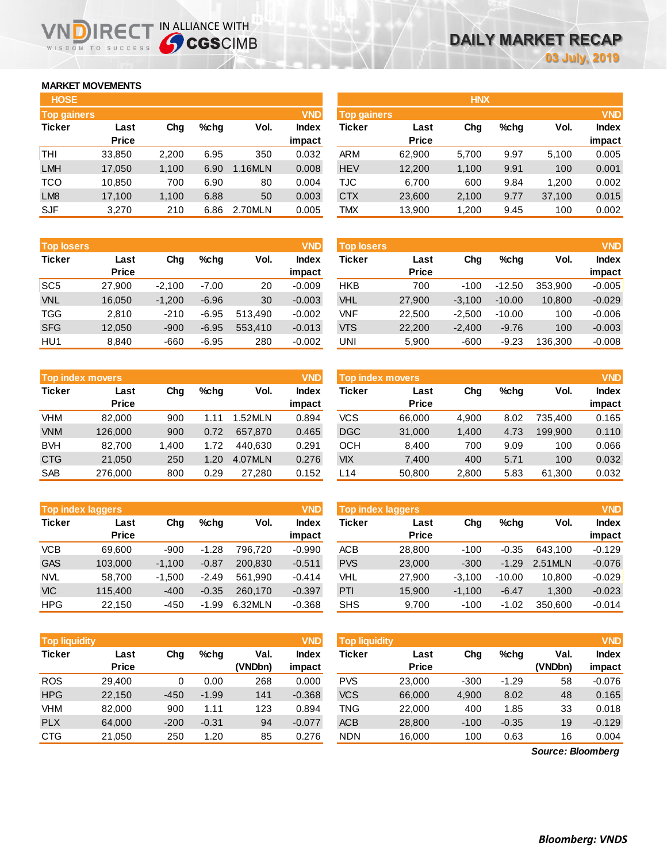### **MARKET MOVEMENTS**

WISDOM TO SUCCESS

| <b>HOSE</b>        |              |       |      |         |              |
|--------------------|--------------|-------|------|---------|--------------|
| <b>Top gainers</b> |              |       |      |         | <b>VND</b>   |
| <b>Ticker</b>      | Last         | Cha   | %chq | Vol.    | <b>Index</b> |
|                    | <b>Price</b> |       |      |         | impact       |
| THI                | 33,850       | 2,200 | 6.95 | 350     | 0.032        |
| <b>LMH</b>         | 17,050       | 1,100 | 6.90 | 1.16MLN | 0.008        |
| <b>TCO</b>         | 10,850       | 700   | 6.90 | 80      | 0.004        |
| LM <sub>8</sub>    | 17,100       | 1,100 | 6.88 | 50      | 0.003        |
| <b>SJF</b>         | 3,270        | 210   | 6.86 | 2.70MLN | 0.005        |

NDIRECT IN ALLIANCE WITH

| <b>HOSE</b>        |              |       |         |         |            |             |              | <b>HNX</b> |         |        |              |
|--------------------|--------------|-------|---------|---------|------------|-------------|--------------|------------|---------|--------|--------------|
| <b>Top gainers</b> |              |       |         |         | <b>VND</b> | Top gainers |              |            |         |        | <b>VND</b>   |
| Ticker             | Last         | Chg   | $%$ chg | Vol.    | Index      | Ticker      | Last         | Chg        | $%$ chq | Vol.   | <b>Index</b> |
|                    | <b>Price</b> |       |         |         | impact     |             | <b>Price</b> |            |         |        | impact       |
| THI                | 33,850       | 2,200 | 6.95    | 350     | 0.032      | <b>ARM</b>  | 62,900       | 5,700      | 9.97    | 5,100  | 0.005        |
| LMH                | 17,050       | 1,100 | 6.90    | 1.16MLN | 0.008      | <b>HEV</b>  | 12,200       | 1,100      | 9.91    | 100    | 0.001        |
| TCO                | 10,850       | 700   | 6.90    | 80      | 0.004      | TJC         | 6,700        | 600        | 9.84    | 1.200  | 0.002        |
| LM <sub>8</sub>    | 17,100       | 1,100 | 6.88    | 50      | 0.003      | <b>CTX</b>  | 23,600       | 2,100      | 9.77    | 37,100 | 0.015        |
| SJF                | 3,270        | 210   | 6.86    | 2.70MLN | 0.005      | TMX         | 13,900       | 1,200      | 9.45    | 100    | 0.002        |
|                    |              |       |         |         |            |             |              |            |         |        |              |

| <b>Top losers</b> |              |          |         |         | <b>VND</b> | <b>Top losers</b> |              |          |          |         | <b>VND</b>   |
|-------------------|--------------|----------|---------|---------|------------|-------------------|--------------|----------|----------|---------|--------------|
| <b>Ticker</b>     | Last         | Chg      | $%$ chq | Vol.    | Index      | Ticker            | Last         | Chg      | $%$ chq  | Vol.    | <b>Index</b> |
|                   | <b>Price</b> |          |         |         | impact     |                   | <b>Price</b> |          |          |         | impact       |
| SC <sub>5</sub>   | 27.900       | $-2.100$ | $-7.00$ | 20      | $-0.009$   | <b>HKB</b>        | 700          | $-100$   | $-12.50$ | 353.900 | $-0.005$     |
| <b>VNL</b>        | 16,050       | $-1,200$ | $-6.96$ | 30      | $-0.003$   | VHL               | 27,900       | $-3,100$ | $-10.00$ | 10,800  | $-0.029$     |
| <b>TGG</b>        | 2,810        | $-210$   | $-6.95$ | 513.490 | $-0.002$   | VNF               | 22.500       | $-2.500$ | $-10.00$ | 100     | $-0.006$     |
| <b>SFG</b>        | 12,050       | $-900$   | $-6.95$ | 553.410 | $-0.013$   | <b>VTS</b>        | 22,200       | $-2.400$ | $-9.76$  | 100     | $-0.003$     |
| HU <sub>1</sub>   | 8.840        | $-660$   | $-6.95$ | 280     | $-0.002$   | UNI               | 5,900        | $-600$   | $-9.23$  | 136.300 | $-0.008$     |

| Top index movers |                      |       |         |         | <b>VND</b>      | <b>Top index movers</b> |                      |       |         |         | <b>VND</b>      |
|------------------|----------------------|-------|---------|---------|-----------------|-------------------------|----------------------|-------|---------|---------|-----------------|
| <b>Ticker</b>    | Last<br><b>Price</b> | Chg   | $%$ chq | Vol.    | Index<br>impact | Ticker                  | Last<br><b>Price</b> | Chg   | $%$ chq | Vol.    | Index<br>impact |
| VHM              | 82.000               | 900   | .11     | .52MLN  | 0.894           | VCS                     | 66,000               | 4.900 | 8.02    | 735.400 | 0.165           |
| <b>VNM</b>       | 126,000              | 900   | 0.72    | 657.870 | 0.465           | <b>DGC</b>              | 31,000               | 1,400 | 4.73    | 199.900 | 0.110           |
| <b>BVH</b>       | 82.700               | l.400 | 1.72    | 440.630 | 0.291           | осн                     | 8.400                | 700   | 9.09    | 100     | 0.066           |
| <b>CTG</b>       | 21.050               | 250   | 1.20    | 4.07MLN | 0.276           | <b>VIX</b>              | 7.400                | 400   | 5.71    | 100     | 0.032           |
| <b>SAB</b>       | 276,000              | 800   | 0.29    | 27.280  | 0.152           | L14                     | 50,800               | 2,800 | 5.83    | 61,300  | 0.032           |

|               | <b>Top index laggers</b> |          |         |         | <b>VND</b> | <b>Top index laggers</b> |              |          |          |         | <b>VND</b>   |
|---------------|--------------------------|----------|---------|---------|------------|--------------------------|--------------|----------|----------|---------|--------------|
| <b>Ticker</b> | Last                     | Chg      | $%$ chq | Vol.    | Index      | Ticker                   | Last         | Chg      | $%$ chq  | Vol.    | <b>Index</b> |
|               | <b>Price</b>             |          |         |         | impact     |                          | <b>Price</b> |          |          |         | impact       |
| <b>VCB</b>    | 69.600                   | $-900$   | $-1.28$ | 796.720 | $-0.990$   | <b>ACB</b>               | 28,800       | $-100$   | $-0.35$  | 643.100 | $-0.129$     |
| <b>GAS</b>    | 103.000                  | $-1.100$ | $-0.87$ | 200.830 | $-0.511$   | <b>PVS</b>               | 23,000       | $-300$   | $-1.29$  | 2.51MLN | $-0.076$     |
| <b>NVL</b>    | 58.700                   | $-1.500$ | $-2.49$ | 561.990 | $-0.414$   | <b>VHL</b>               | 27,900       | $-3.100$ | $-10.00$ | 10.800  | $-0.029$     |
| <b>VIC</b>    | 115.400                  | $-400$   | $-0.35$ | 260,170 | $-0.397$   | PTI                      | 15,900       | $-1.100$ | $-6.47$  | 1,300   | $-0.023$     |
| <b>HPG</b>    | 22.150                   | -450     | $-1.99$ | 6.32MLN | $-0.368$   | <b>SHS</b>               | 9.700        | $-100$   | $-1.02$  | 350,600 | $-0.014$     |

| <b>Top index laggers</b> |              |          |          |         | <b>VND</b>   |
|--------------------------|--------------|----------|----------|---------|--------------|
| <b>Ticker</b>            | Last         | Cha      | %chq     | Vol.    | <b>Index</b> |
|                          | <b>Price</b> |          |          |         | impact       |
| <b>ACB</b>               | 28,800       | $-100$   | $-0.35$  | 643.100 | $-0.129$     |
| <b>PVS</b>               | 23,000       | $-300$   | $-1.29$  | 2.51MLN | $-0.076$     |
| VHL                      | 27,900       | $-3,100$ | $-10.00$ | 10,800  | $-0.029$     |
| PTI                      | 15,900       | $-1,100$ | $-6.47$  | 1,300   | $-0.023$     |
| <b>SHS</b>               | a 700        | -100     | -1 02    | 350.600 | -N 014       |

| <b>Top liquidity</b> |              |        |         |         | <b>VND</b>   | <b>Top liquidity</b> |              |        |         |                   | <b>VND</b>   |
|----------------------|--------------|--------|---------|---------|--------------|----------------------|--------------|--------|---------|-------------------|--------------|
| <b>Ticker</b>        | Last         | Chg    | %chq    | Val.    | <b>Index</b> | <b>Ticker</b>        | Last         | Chg    | $%$ chq | Val.              | <b>Index</b> |
|                      | <b>Price</b> |        |         | (VNDbn) | impact       |                      | <b>Price</b> |        |         | (VNDbn)           | impact       |
| <b>ROS</b>           | 29.400       | 0      | 0.00    | 268     | 0.000        | <b>PVS</b>           | 23,000       | $-300$ | $-1.29$ | 58                | $-0.076$     |
| <b>HPG</b>           | 22,150       | $-450$ | $-1.99$ | 141     | $-0.368$     | <b>VCS</b>           | 66,000       | 4,900  | 8.02    | 48                | 0.165        |
| <b>VHM</b>           | 82,000       | 900    | 1.11    | 123     | 0.894        | TNG                  | 22,000       | 400    | 1.85    | 33                | 0.018        |
| <b>PLX</b>           | 64,000       | $-200$ | $-0.31$ | 94      | $-0.077$     | <b>ACB</b>           | 28,800       | $-100$ | $-0.35$ | 19                | $-0.129$     |
| <b>CTG</b>           | 21,050       | 250    | 1.20    | 85      | 0.276        | <b>NDN</b>           | 16,000       | 100    | 0.63    | 16                | 0.004        |
|                      |              |        |         |         |              |                      |              |        |         | Source: Bloomberg |              |

*Source: Bloomberg*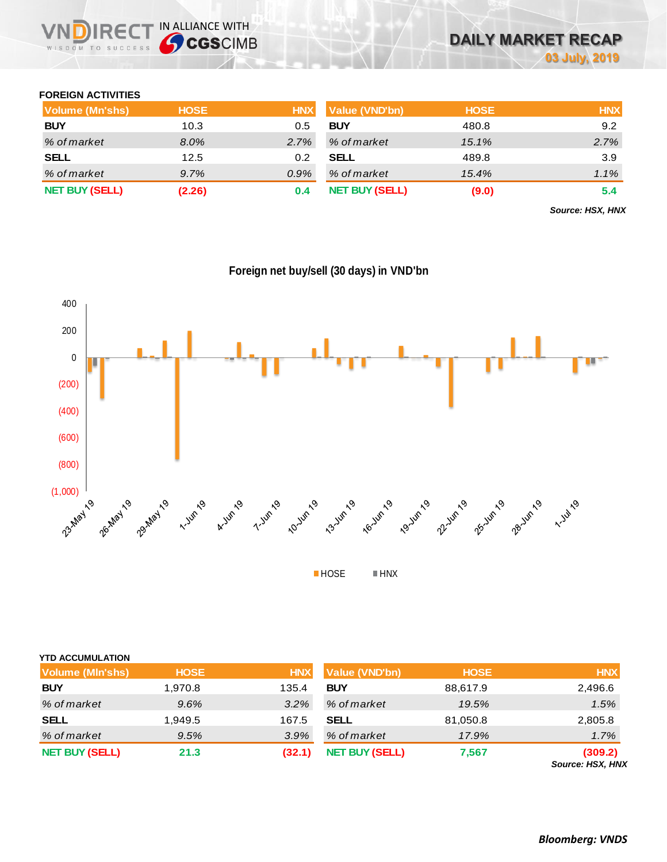

### **FOREIGN ACTIVITIES**

| Volume (Mn'shs)       | <b>HOSE</b> | <b>HNX</b> | <b>Value (VND'bn)</b> | <b>HOSE</b> | <b>HNX</b> |
|-----------------------|-------------|------------|-----------------------|-------------|------------|
| <b>BUY</b>            | 10.3        | 0.5        | <b>BUY</b>            | 480.8       | 9.2        |
| % of market           | 8.0%        | 2.7%       | % of market           | 15.1%       | 2.7%       |
| <b>SELL</b>           | 12.5        | 0.2        | <b>SELL</b>           | 489.8       | 3.9        |
| % of market           | 9.7%        | $0.9\%$    | % of market           | 15.4%       | $1.1\%$    |
| <b>NET BUY (SELL)</b> | (2.26)      | 0.4        | <b>NET BUY (SELL)</b> | (9.0)       | 5.4        |

*Source: HSX, HNX*



|  |  |  | Foreign net buy/sell (30 days) in VND'bn |  |  |
|--|--|--|------------------------------------------|--|--|
|  |  |  |                                          |  |  |

| <b>YTD ACCUMULATION</b> |             |            |                       |             |                                    |
|-------------------------|-------------|------------|-----------------------|-------------|------------------------------------|
| Volume (MIn'shs)        | <b>HOSE</b> | <b>HNX</b> | Value (VND'bn)        | <b>HOSE</b> | <b>HNX</b>                         |
| <b>BUY</b>              | 1,970.8     | 135.4      | <b>BUY</b>            | 88,617.9    | 2,496.6                            |
| % of market             | 9.6%        | 3.2%       | % of market           | 19.5%       | 1.5%                               |
| <b>SELL</b>             | 1,949.5     | 167.5      | <b>SELL</b>           | 81,050.8    | 2,805.8                            |
| % of market             | 9.5%        | 3.9%       | % of market           | 17.9%       | 1.7%                               |
| <b>NET BUY (SELL)</b>   | 21.3        | (32.1)     | <b>NET BUY (SELL)</b> | 7,567       | (309.2)<br><b>Source: HSX, HNX</b> |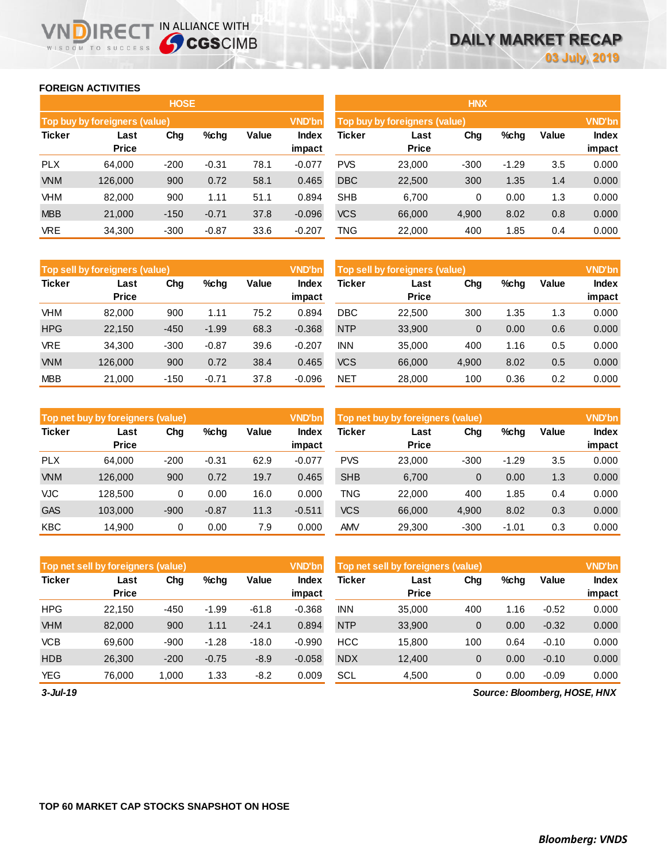### **FOREIGN ACTIVITIES**

WISDOM TO SUCCESS

n

**IRECT IN ALLIANCE WITH** 

|               |                               | <b>HOSE</b> |         |       |                        | <b>HNX</b>                    |                      |        |         |       |                        |  |
|---------------|-------------------------------|-------------|---------|-------|------------------------|-------------------------------|----------------------|--------|---------|-------|------------------------|--|
|               | Top buy by foreigners (value) |             |         |       | <b>VND'bn</b>          | Top buy by foreigners (value) |                      |        |         |       |                        |  |
| <b>Ticker</b> | Last<br><b>Price</b>          | Chg         | %chg    | Value | <b>Index</b><br>impact | Ticker                        | Last<br><b>Price</b> | Chg    | %chg    | Value | <b>Index</b><br>impact |  |
| <b>PLX</b>    | 64.000                        | $-200$      | $-0.31$ | 78.1  | $-0.077$               | <b>PVS</b>                    | 23,000               | $-300$ | $-1.29$ | 3.5   | 0.000                  |  |
| <b>VNM</b>    | 126,000                       | 900         | 0.72    | 58.1  | 0.465                  | <b>DBC</b>                    | 22,500               | 300    | 1.35    | 1.4   | 0.000                  |  |
| VHM           | 82,000                        | 900         | 1.11    | 51.1  | 0.894                  | <b>SHB</b>                    | 6.700                | 0      | 0.00    | 1.3   | 0.000                  |  |
| <b>MBB</b>    | 21,000                        | $-150$      | $-0.71$ | 37.8  | $-0.096$               | <b>VCS</b>                    | 66,000               | 4,900  | 8.02    | 0.8   | 0.000                  |  |
| <b>VRE</b>    | 34,300                        | $-300$      | $-0.87$ | 33.6  | $-0.207$               | TNG                           | 22,000               | 400    | 1.85    | 0.4   | 0.000                  |  |

|               | Top sell by foreigners (value) |        |         |       | <b>VND'bn</b>   | Top sell by foreigners (value) | <b>VND'bn</b>        |                |      |       |                 |
|---------------|--------------------------------|--------|---------|-------|-----------------|--------------------------------|----------------------|----------------|------|-------|-----------------|
| <b>Ticker</b> | Last<br><b>Price</b>           | Chg    | %chg    | Value | Index<br>impact | Ticker                         | Last<br><b>Price</b> | Chg            | %chg | Value | Index<br>impact |
| VHM           | 82,000                         | 900    | 1.11    | 75.2  | 0.894           | <b>DBC</b>                     | 22,500               | 300            | 1.35 | 1.3   | 0.000           |
| <b>HPG</b>    | 22,150                         | $-450$ | $-1.99$ | 68.3  | $-0.368$        | <b>NTP</b>                     | 33,900               | $\overline{0}$ | 0.00 | 0.6   | 0.000           |
| <b>VRE</b>    | 34.300                         | $-300$ | $-0.87$ | 39.6  | $-0.207$        | <b>INN</b>                     | 35,000               | 400            | 1.16 | 0.5   | 0.000           |
| <b>VNM</b>    | 126,000                        | 900    | 0.72    | 38.4  | 0.465           | <b>VCS</b>                     | 66,000               | 4,900          | 8.02 | 0.5   | 0.000           |
| <b>MBB</b>    | 21,000                         | $-150$ | $-0.71$ | 37.8  | $-0.096$        | <b>NET</b>                     | 28,000               | 100            | 0.36 | 0.2   | 0.000           |

|               | <b>VND'bn</b><br>Top net buy by foreigners (value) |        |         |       |                 |            | Top net buy by foreigners (value) |                |         |       |                        |  |
|---------------|----------------------------------------------------|--------|---------|-------|-----------------|------------|-----------------------------------|----------------|---------|-------|------------------------|--|
| <b>Ticker</b> | Last<br><b>Price</b>                               | Chg    | $%$ chg | Value | Index<br>impact | Ticker     | Last<br><b>Price</b>              | Chg            | %chg    | Value | <b>Index</b><br>impact |  |
| <b>PLX</b>    | 64.000                                             | $-200$ | $-0.31$ | 62.9  | $-0.077$        | <b>PVS</b> | 23,000                            | $-300$         | $-1.29$ | 3.5   | 0.000                  |  |
| <b>VNM</b>    | 126,000                                            | 900    | 0.72    | 19.7  | 0.465           | <b>SHB</b> | 6,700                             | $\overline{0}$ | 0.00    | 1.3   | 0.000                  |  |
| VJC           | 128.500                                            | 0      | 0.00    | 16.0  | 0.000           | <b>TNG</b> | 22,000                            | 400            | 1.85    | 0.4   | 0.000                  |  |
| <b>GAS</b>    | 103.000                                            | $-900$ | $-0.87$ | 11.3  | $-0.511$        | <b>VCS</b> | 66,000                            | 4,900          | 8.02    | 0.3   | 0.000                  |  |
| <b>KBC</b>    | 14.900                                             | 0      | 0.00    | 7.9   | 0.000           | <b>AMV</b> | 29,300                            | $-300$         | -1.01   | 0.3   | 0.000                  |  |

|               | Top net sell by foreigners (value) |        |         |         | <b>VND'bn</b>   | Top net sell by foreigners (value) |                      |     |      |         | <b>VND'bn</b>          |  |
|---------------|------------------------------------|--------|---------|---------|-----------------|------------------------------------|----------------------|-----|------|---------|------------------------|--|
| <b>Ticker</b> | Last<br><b>Price</b>               | Chg    | $%$ chg | Value   | Index<br>impact | Ticker                             | Last<br><b>Price</b> | Chg | %chg | Value   | <b>Index</b><br>impact |  |
| <b>HPG</b>    | 22.150                             | $-450$ | $-1.99$ | $-61.8$ | $-0.368$        | <b>INN</b>                         | 35,000               | 400 | 1.16 | $-0.52$ | 0.000                  |  |
| <b>VHM</b>    | 82,000                             | 900    | 1.11    | $-24.1$ | 0.894           | <b>NTP</b>                         | 33,900               | 0   | 0.00 | $-0.32$ | 0.000                  |  |
| <b>VCB</b>    | 69.600                             | $-900$ | $-1.28$ | $-18.0$ | $-0.990$        | <b>HCC</b>                         | 15,800               | 100 | 0.64 | $-0.10$ | 0.000                  |  |
| <b>HDB</b>    | 26,300                             | $-200$ | $-0.75$ | $-8.9$  | $-0.058$        | <b>NDX</b>                         | 12,400               | 0   | 0.00 | $-0.10$ | 0.000                  |  |
| <b>YEG</b>    | 76.000                             | .000   | 1.33    | $-8.2$  | 0.009           | SCL                                | 4,500                | 0   | 0.00 | $-0.09$ | 0.000                  |  |

*3-Jul-19*

*Source: Bloomberg, HOSE, HNX*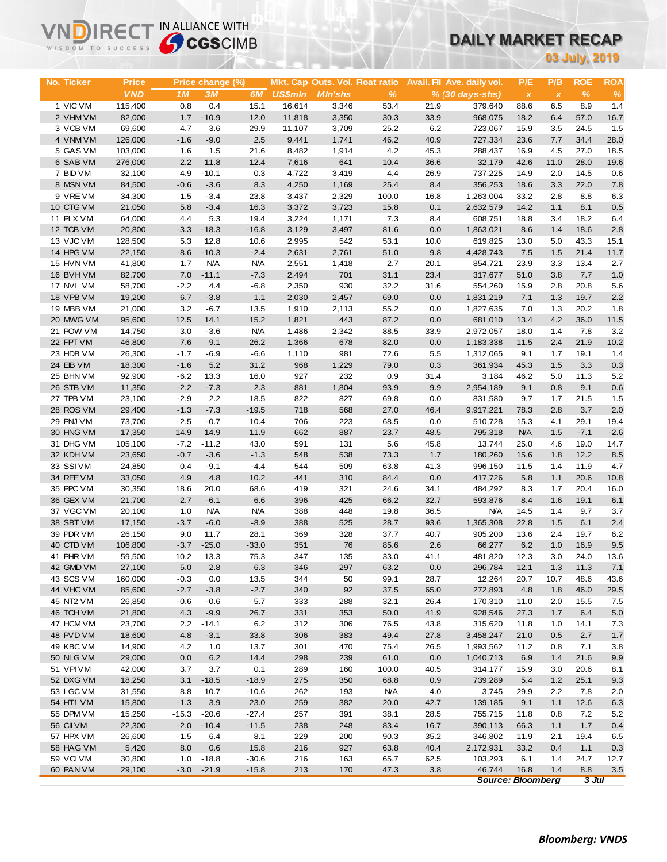# **DAILY MARKET RECAP**

|                        | <b>Sy CGS</b> CIMB<br>WISDOM TO SUCCESS |                  |                      |                      |                          |                                 |               |              | UAILT MARNET RECAP                     |                          |                     |               |             |
|------------------------|-----------------------------------------|------------------|----------------------|----------------------|--------------------------|---------------------------------|---------------|--------------|----------------------------------------|--------------------------|---------------------|---------------|-------------|
|                        |                                         |                  |                      |                      |                          |                                 |               |              |                                        |                          |                     | 03 July, 2019 |             |
|                        |                                         |                  |                      |                      |                          |                                 |               |              |                                        |                          |                     |               |             |
| No. Ticker             | <b>Price</b>                            |                  | Price change (%)     |                      |                          | Mkt. Cap Outs. Vol. Float ratio |               |              | Avail. Fil Ave. daily vol.             | P/E                      | P/B                 | <b>ROE</b>    | <b>ROA</b>  |
| 1 VIC VM               | <b>VND</b><br>115,400                   | 1M<br>0.8        | <b>3M</b><br>0.4     | 6M<br>15.1           | <b>US\$mln</b><br>16,614 | <b>MIn'shs</b><br>3,346         | %<br>53.4     | 21.9         | $% (30 \, \text{days-shs})$<br>379,640 | $\pmb{\chi}$<br>88.6     | $\pmb{\chi}$<br>6.5 | $\%$<br>8.9   | $\%$<br>1.4 |
| 2 VHM VM               | 82,000                                  | 1.7              | $-10.9$              | 12.0                 | 11,818                   | 3,350                           | 30.3          | 33.9         | 968,075                                | 18.2                     | 6.4                 | 57.0          | 16.7        |
| 3 VCB VM               | 69,600                                  | 4.7              | 3.6                  | 29.9                 | 11,107                   | 3,709                           | 25.2          | 6.2          | 723,067                                | 15.9                     | 3.5                 | 24.5          | 1.5         |
| 4 VNM VM               | 126,000                                 | $-1.6$           | $-9.0$               | 2.5                  | 9,441                    | 1,741                           | 46.2          | 40.9         | 727,334                                | 23.6                     | 7.7                 | 34.4          | 28.0        |
| 5 GAS VM               | 103,000                                 | 1.6              | 1.5                  | 21.6                 | 8,482                    | 1,914                           | 4.2           | 45.3         | 288,437                                | 16.9                     | 4.5                 | 27.0          | 18.5        |
| 6 SAB VM               | 276,000                                 | 2.2              | 11.8                 | 12.4                 | 7,616                    | 641                             | 10.4          | 36.6         | 32,179                                 | 42.6                     | 11.0                | 28.0          | 19.6        |
| 7 BID VM               | 32,100                                  | 4.9              | $-10.1$              | 0.3                  | 4,722                    | 3,419                           | 4.4           | 26.9         | 737,225                                | 14.9                     | 2.0                 | 14.5          | 0.6         |
| 8 MSN VM               | 84,500                                  | $-0.6$           | $-3.6$               | 8.3                  | 4,250                    | 1,169                           | 25.4          | 8.4          | 356,253                                | 18.6                     | 3.3                 | 22.0          | 7.8         |
| 9 VREVM                | 34,300                                  | 1.5              | $-3.4$               | 23.8                 | 3,437                    | 2,329                           | 100.0         | 16.8         | 1,263,004                              | 33.2                     | 2.8                 | 8.8           | 6.3         |
| 10 CTG VM              | 21,050                                  | 5.8<br>4.4       | $-3.4$               | 16.3                 | 3,372                    | 3,723                           | 15.8          | 0.1          | 2,632,579                              | 14.2                     | 1.1                 | 8.1<br>18.2   | 0.5<br>6.4  |
| 11 PLX VM<br>12 TCB VM | 64,000<br>20,800                        | $-3.3$           | 5.3<br>$-18.3$       | 19.4<br>$-16.8$      | 3,224<br>3,129           | 1,171<br>3,497                  | 7.3<br>81.6   | 8.4<br>0.0   | 608,751<br>1,863,021                   | 18.8<br>8.6              | 3.4<br>1.4          | 18.6          | 2.8         |
| 13 VJC VM              | 128,500                                 | 5.3              | 12.8                 | 10.6                 | 2,995                    | 542                             | 53.1          | 10.0         | 619,825                                | 13.0                     | 5.0                 | 43.3          | 15.1        |
| 14 HPG VM              | 22,150                                  | $-8.6$           | $-10.3$              | $-2.4$               | 2,631                    | 2,761                           | 51.0          | 9.8          | 4,428,743                              | 7.5                      | 1.5                 | 21.4          | 11.7        |
| 15 HVN VM              | 41,800                                  | 1.7              | <b>N/A</b>           | <b>N/A</b>           | 2,551                    | 1,418                           | 2.7           | 20.1         | 854,721                                | 23.9                     | 3.3                 | 13.4          | 2.7         |
| 16 BVHVM               | 82,700                                  | 7.0              | $-11.1$              | $-7.3$               | 2,494                    | 701                             | 31.1          | 23.4         | 317,677                                | 51.0                     | 3.8                 | 7.7           | 1.0         |
| 17 NVL VM              | 58,700                                  | $-2.2$           | 4.4                  | $-6.8$               | 2,350                    | 930                             | 32.2          | 31.6         | 554,260                                | 15.9                     | 2.8                 | 20.8          | 5.6         |
| 18 VPB VM              | 19,200                                  | 6.7              | $-3.8$               | 1.1                  | 2,030                    | 2,457                           | 69.0          | 0.0          | 1,831,219                              | 7.1                      | 1.3                 | 19.7          | 2.2         |
| 19 MBB VM              | 21,000                                  | 3.2              | $-6.7$               | 13.5                 | 1,910                    | 2,113                           | 55.2          | 0.0          | 1,827,635                              | 7.0                      | 1.3                 | 20.2          | 1.8         |
| 20 MWG VM              | 95,600                                  | 12.5             | 14.1                 | 15.2                 | 1,821                    | 443                             | 87.2          | 0.0          | 681,010                                | 13.4                     | 4.2                 | 36.0          | 11.5        |
| 21 POW VM              | 14,750                                  | $-3.0$           | $-3.6$               | <b>N/A</b>           | 1,486                    | 2,342                           | 88.5          | 33.9         | 2,972,057                              | 18.0                     | 1.4                 | 7.8           | 3.2         |
| 22 FPT VM              | 46,800                                  | 7.6              | 9.1                  | 26.2                 | 1,366                    | 678                             | 82.0          | 0.0          | 1,183,338                              | 11.5                     | 2.4                 | 21.9          | 10.2        |
| 23 HDB VM              | 26,300                                  | $-1.7$           | $-6.9$               | $-6.6$               | 1,110                    | 981                             | 72.6          | 5.5          | 1,312,065                              | 9.1                      | 1.7                 | 19.1          | 1.4         |
| 24 EIB VM<br>25 BHN VM | 18,300<br>92,900                        | $-1.6$<br>$-6.2$ | 5.2<br>13.3          | 31.2<br>16.0         | 968<br>927               | 1,229<br>232                    | 79.0<br>0.9   | 0.3<br>31.4  | 361,934<br>3,184                       | 45.3<br>46.2             | 1.5<br>5.0          | 3.3<br>11.3   | 0.3<br>5.2  |
| 26 STB VM              | 11,350                                  | $-2.2$           | $-7.3$               | 2.3                  | 881                      | 1,804                           | 93.9          | 9.9          | 2,954,189                              | 9.1                      | 0.8                 | 9.1           | 0.6         |
| 27 TPB VM              | 23,100                                  | $-2.9$           | 2.2                  | 18.5                 | 822                      | 827                             | 69.8          | 0.0          | 831,580                                | 9.7                      | 1.7                 | 21.5          | 1.5         |
| 28 ROS VM              | 29,400                                  | $-1.3$           | $-7.3$               | $-19.5$              | 718                      | 568                             | 27.0          | 46.4         | 9,917,221                              | 78.3                     | 2.8                 | 3.7           | 2.0         |
| 29 PNJ VM              | 73,700                                  | $-2.5$           | $-0.7$               | 10.4                 | 706                      | 223                             | 68.5          | 0.0          | 510,728                                | 15.3                     | 4.1                 | 29.1          | 19.4        |
| 30 HNG VM              | 17,350                                  | 14.9             | 14.9                 | 11.9                 | 662                      | 887                             | 23.7          | 48.5         | 795,318                                | <b>N/A</b>               | 1.5                 | $-7.1$        | $-2.6$      |
| 31 DHG VM              | 105,100                                 | $-7.2$           | $-11.2$              | 43.0                 | 591                      | 131                             | 5.6           | 45.8         | 13,744                                 | 25.0                     | 4.6                 | 19.0          | 14.7        |
| 32 KDH VM              | 23,650                                  | $-0.7$           | $-3.6$               | $-1.3$               | 548                      | 538                             | 73.3          | 1.7          | 180,260                                | 15.6                     | 1.8                 | 12.2          | 8.5         |
| 33 SSIVM               | 24,850                                  | 0.4              | $-9.1$               | $-4.4$               | 544                      | 509                             | 63.8          | 41.3         | 996,150                                | 11.5                     | 1.4                 | 11.9          | 4.7         |
| 34 REE VM              | 33,050                                  | 4.9              | 4.8                  | 10.2                 | 441                      | 310                             | 84.4          | 0.0          | 417,726                                | 5.8                      | 1.1                 | 20.6          | 10.8        |
| 35 PPC VM              | 30,350                                  | 18.6             | 20.0                 | 68.6                 | 419                      | 321                             | 24.6          | 34.1         | 484,292                                | 8.3                      | 1.7                 | 20.4          | 16.0        |
| 36 GEX VM              | 21,700                                  | $-2.7$           | $-6.1$               | 6.6                  | 396                      | 425                             | 66.2          | 32.7         | 593,876                                | 8.4                      | 1.6                 | 19.1          | 6.1         |
| 37 VGC VM<br>38 SBT VM | 20,100                                  | 1.0<br>$-3.7$    | <b>N/A</b><br>$-6.0$ | <b>N/A</b><br>$-8.9$ | 388<br>388               | 448<br>525                      | 19.8<br>28.7  | 36.5<br>93.6 | <b>N/A</b>                             | 14.5<br>22.8             | 1.4<br>1.5          | 9.7<br>6.1    | 3.7<br>2.4  |
| 39 PDR VM              | 17,150<br>26,150                        | 9.0              | 11.7                 | 28.1                 | 369                      | 328                             | 37.7          | 40.7         | 1,365,308<br>905,200                   | 13.6                     | 2.4                 | 19.7          | 6.2         |
| 40 CTD VM              | 106,800                                 | $-3.7$           | $-25.0$              | $-33.0$              | 351                      | 76                              | 85.6          | 2.6          | 66,277                                 | 6.2                      | 1.0                 | 16.9          | 9.5         |
| 41 PHR VM              | 59,500                                  | 10.2             | 13.3                 | 75.3                 | 347                      | 135                             | 33.0          | 41.1         | 481,820                                | 12.3                     | 3.0                 | 24.0          | 13.6        |
| 42 GMD VM              | 27,100                                  | 5.0              | 2.8                  | 6.3                  | 346                      | 297                             | 63.2          | 0.0          | 296,784                                | 12.1                     | 1.3                 | 11.3          | 7.1         |
| 43 SCS VM              | 160,000                                 | $-0.3$           | 0.0                  | 13.5                 | 344                      | 50                              | 99.1          | 28.7         | 12,264                                 | 20.7                     | 10.7                | 48.6          | 43.6        |
| 44 VHC VM              | 85,600                                  | $-2.7$           | $-3.8$               | $-2.7$               | 340                      | 92                              | 37.5          | 65.0         | 272,893                                | 4.8                      | 1.8                 | 46.0          | 29.5        |
| 45 NT2 VM              | 26,850                                  | $-0.6$           | $-0.6$               | 5.7                  | 333                      | 288                             | 32.1          | 26.4         | 170,310                                | 11.0                     | 2.0                 | 15.5          | 7.5         |
| 46 TCH VM              | 21,800                                  | 4.3              | $-9.9$               | 26.7                 | 331                      | 353                             | 50.0          | 41.9         | 928,546                                | 27.3                     | 1.7                 | 6.4           | 5.0         |
| 47 HCM VM              | 23,700                                  | 2.2              | $-14.1$              | 6.2                  | 312                      | 306                             | 76.5          | 43.8         | 315,620                                | 11.8                     | 1.0                 | 14.1          | 7.3         |
| 48 PVD VM              | 18,600                                  | 4.8              | $-3.1$               | 33.8                 | 306                      | 383                             | 49.4          | 27.8         | 3,458,247                              | 21.0                     | 0.5                 | 2.7           | 1.7         |
| 49 KBC VM              | 14,900                                  | 4.2              | 1.0                  | 13.7                 | 301                      | 470                             | 75.4          | 26.5         | 1,993,562                              | 11.2                     | 0.8                 | 7.1           | 3.8         |
| 50 NLG VM              | 29,000                                  | 0.0              | 6.2                  | 14.4                 | 298                      | 239                             | 61.0          | 0.0          | 1,040,713                              | 6.9                      | 1.4                 | 21.6          | 9.9         |
| 51 VPI VM<br>52 DXG VM | 42,000<br>18,250                        | 3.7<br>3.1       | 3.7<br>$-18.5$       | 0.1<br>$-18.9$       | 289<br>275               | 160<br>350                      | 100.0<br>68.8 | 40.5<br>0.9  | 314,177<br>739,289                     | 15.9<br>5.4              | 3.0<br>1.2          | 20.6<br>25.1  | 8.1<br>9.3  |
| 53 LGC VM              | 31,550                                  | 8.8              | 10.7                 | $-10.6$              | 262                      | 193                             | <b>N/A</b>    | 4.0          | 3,745                                  | 29.9                     | 2.2                 | 7.8           | 2.0         |
| 54 HT1 VM              | 15,800                                  | $-1.3$           | 3.9                  | 23.0                 | 259                      | 382                             | 20.0          | 42.7         | 139,185                                | 9.1                      | 1.1                 | 12.6          | 6.3         |
| 55 DPM VM              | 15,250                                  | $-15.3$          | $-20.6$              | $-27.4$              | 257                      | 391                             | 38.1          | 28.5         | 755,715                                | 11.8                     | 0.8                 | 7.2           | 5.2         |
| 56 CII VM              | 22,300                                  | $-2.0$           | $-10.4$              | $-11.5$              | 238                      | 248                             | 83.4          | 16.7         | 390,113                                | 66.3                     | $1.1$               | 1.7           | 0.4         |
| 57 HPX VM              | 26,600                                  | 1.5              | 6.4                  | 8.1                  | 229                      | 200                             | 90.3          | 35.2         | 346,802                                | 11.9                     | 2.1                 | 19.4          | 6.5         |
| 58 HAG VM              | 5,420                                   | 8.0              | 0.6                  | 15.8                 | 216                      | 927                             | 63.8          | 40.4         | 2,172,931                              | 33.2                     | 0.4                 | 1.1           | 0.3         |
| 59 VCIVM               | 30,800                                  | 1.0              | $-18.8$              | $-30.6$              | 216                      | 163                             | 65.7          | 62.5         | 103,293                                | 6.1                      | 1.4                 | 24.7          | 12.7        |
| 60 PAN VM              | 29,100                                  | $-3.0$           | $-21.9$              | $-15.8$              | 213                      | 170                             | 47.3          | 3.8          | 46,744                                 | 16.8                     | $1.4$               | 8.8           | 3.5         |
|                        |                                         |                  |                      |                      |                          |                                 |               |              |                                        | <b>Source: Bloomberg</b> |                     | $3$ Jul       |             |

**VNDIRECT IN ALLIANCE WITH**